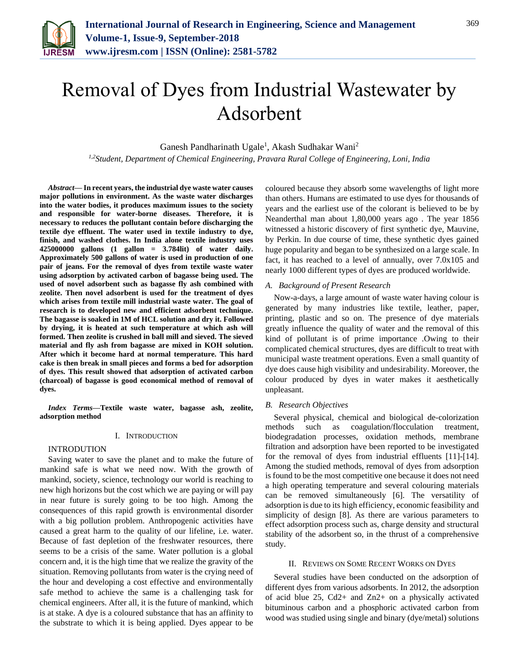

# Removal of Dyes from Industrial Wastewater by Adsorbent

Ganesh Pandharinath Ugale<sup>1</sup>, Akash Sudhakar Wani<sup>2</sup>

*1,2Student, Department of Chemical Engineering, Pravara Rural College of Engineering, Loni, India*

*Abstract***— In recent years, the industrial dye waste water causes major pollutions in environment. As the waste water discharges into the water bodies, it produces maximum issues to the society and responsible for water-borne diseases. Therefore, it is necessary to reduces the pollutant contain before discharging the textile dye effluent. The water used in textile industry to dye, finish, and washed clothes. In India alone textile industry uses 425000000 gallons (1 gallon = 3.784lit) of water daily. Approximately 500 gallons of water is used in production of one pair of jeans. For the removal of dyes from textile waste water using adsorption by activated carbon of bagasse being used. The used of novel adsorbent such as bagasse fly ash combined with zeolite. Then novel adsorbent is used for the treatment of dyes which arises from textile mill industrial waste water. The goal of research is to developed new and efficient adsorbent technique. The bagasse is soaked in 1M of HCL solution and dry it. Followed by drying, it is heated at such temperature at which ash will formed. Then zeolite is crushed in ball mill and sieved. The sieved material and fly ash from bagasse are mixed in KOH solution. After which it become hard at normal temperature. This hard cake is then break in small pieces and forms a bed for adsorption of dyes. This result showed that adsorption of activated carbon (charcoal) of bagasse is good economical method of removal of dyes.** 

*Index Terms***—Textile waste water, bagasse ash, zeolite, adsorption method** 

### I. INTRODUCTION

### INTRODUTION

Saving water to save the planet and to make the future of mankind safe is what we need now. With the growth of mankind, society, science, technology our world is reaching to new high horizons but the cost which we are paying or will pay in near future is surely going to be too high. Among the consequences of this rapid growth is environmental disorder with a big pollution problem. Anthropogenic activities have caused a great harm to the quality of our lifeline, i.e. water. Because of fast depletion of the freshwater resources, there seems to be a crisis of the same. Water pollution is a global concern and, it is the high time that we realize the gravity of the situation. Removing pollutants from water is the crying need of the hour and developing a cost effective and environmentally safe method to achieve the same is a challenging task for chemical engineers. After all, it is the future of mankind, which is at stake. A dye is a coloured substance that has an affinity to the substrate to which it is being applied. Dyes appear to be

coloured because they absorb some wavelengths of light more than others. Humans are estimated to use dyes for thousands of years and the earliest use of the colorant is believed to be by Neanderthal man about 1,80,000 years ago . The year 1856 witnessed a historic discovery of first synthetic dye, Mauvine, by Perkin. In due course of time, these synthetic dyes gained huge popularity and began to be synthesized on a large scale. In fact, it has reached to a level of annually, over 7.0x105 and nearly 1000 different types of dyes are produced worldwide.

## *A. Background of Present Research*

Now-a-days, a large amount of waste water having colour is generated by many industries like textile, leather, paper, printing, plastic and so on. The presence of dye materials greatly influence the quality of water and the removal of this kind of pollutant is of prime importance .Owing to their complicated chemical structures, dyes are difficult to treat with municipal waste treatment operations. Even a small quantity of dye does cause high visibility and undesirability. Moreover, the colour produced by dyes in water makes it aesthetically unpleasant.

## *B. Research Objectives*

Several physical, chemical and biological de-colorization methods such as coagulation/flocculation treatment, biodegradation processes, oxidation methods, membrane filtration and adsorption have been reported to be investigated for the removal of dyes from industrial effluents [11]-[14]. Among the studied methods, removal of dyes from adsorption is found to be the most competitive one because it does not need a high operating temperature and several colouring materials can be removed simultaneously [6]. The versatility of adsorption is due to its high efficiency, economic feasibility and simplicity of design [8]. As there are various parameters to effect adsorption process such as, charge density and structural stability of the adsorbent so, in the thrust of a comprehensive study.

### II. REVIEWS ON SOME RECENT WORKS ON DYES

Several studies have been conducted on the adsorption of different dyes from various adsorbents. In 2012, the adsorption of acid blue 25, Cd2+ and Zn2+ on a physically activated bituminous carbon and a phosphoric activated carbon from wood was studied using single and binary (dye/metal) solutions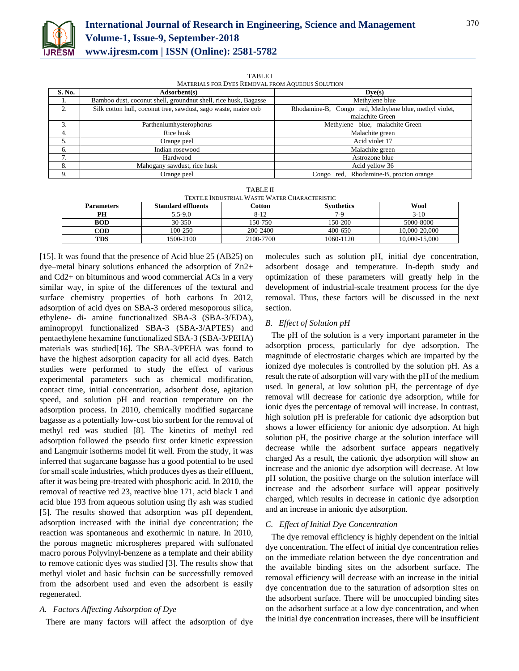

| MATERIALS FOR DYES REMOVAL FROM AQUEOUS SOLUTION |                                                                 |                                                        |  |  |  |  |  |
|--------------------------------------------------|-----------------------------------------------------------------|--------------------------------------------------------|--|--|--|--|--|
| S. No.                                           | Adsorbent(s)                                                    | Dve(s)                                                 |  |  |  |  |  |
|                                                  | Bamboo dust, coconut shell, groundnut shell, rice husk, Bagasse | Methylene blue                                         |  |  |  |  |  |
| 2.                                               | Silk cotton hull, coconut tree, sawdust, sago waste, maize cob  | Rhodamine-B, Congo red, Methylene blue, methyl violet, |  |  |  |  |  |
|                                                  |                                                                 | malachite Green                                        |  |  |  |  |  |
| 3.                                               | Partheniumhysterophorus                                         | Methylene blue, malachite Green                        |  |  |  |  |  |
| 4.                                               | Rice husk                                                       | Malachite green                                        |  |  |  |  |  |
| 5.                                               | Orange peel                                                     | Acid violet 17                                         |  |  |  |  |  |
| 6.                                               | Indian rosewood                                                 | Malachite green                                        |  |  |  |  |  |
| 7.                                               | Hardwood                                                        | Astrozone blue                                         |  |  |  |  |  |
| 8.                                               | Mahogany sawdust, rice husk                                     | Acid yellow 36                                         |  |  |  |  |  |
| 9.                                               | Orange peel                                                     | Rhodamine-B, procion orange<br>red.<br>Congo           |  |  |  |  |  |

TABLE I

| <b>TABLE II</b>                               |  |  |  |  |
|-----------------------------------------------|--|--|--|--|
| TEXTILE INDUSTRIAL WASTE WATER CHARACTERISTIC |  |  |  |  |

| <b>Parameters</b> | <b>Standard effluents</b> | Cotton    | <b>Synthetics</b> | Wool          |
|-------------------|---------------------------|-----------|-------------------|---------------|
| PН                | $5.5 - 9.0$               | 8-12      | 7-9               | $3-10$        |
| <b>BOD</b>        | 30-350                    | 150-750   | 150-200           | 5000-8000     |
| COD               | 100-250                   | 200-2400  | 400-650           | 10.000-20.000 |
| TDS               | 1500-2100                 | 2100-7700 | 1060-1120         | 10.000-15.000 |

[15]. It was found that the presence of Acid blue 25 (AB25) on dye–metal binary solutions enhanced the adsorption of Zn2+ and Cd2+ on bituminous and wood commercial ACs in a very similar way, in spite of the differences of the textural and surface chemistry properties of both carbons In 2012, adsorption of acid dyes on SBA-3 ordered mesoporous silica, ethylene- di- amine functionalized SBA-3 (SBA-3/EDA), aminopropyl functionalized SBA-3 (SBA-3/APTES) and pentaethylene hexamine functionalized SBA-3 (SBA-3/PEHA) materials was studied[16]. The SBA-3/PEHA was found to have the highest adsorption capacity for all acid dyes. Batch studies were performed to study the effect of various experimental parameters such as chemical modification, contact time, initial concentration, adsorbent dose, agitation speed, and solution pH and reaction temperature on the adsorption process. In 2010, chemically modified sugarcane bagasse as a potentially low-cost bio sorbent for the removal of methyl red was studied [8]. The kinetics of methyl red adsorption followed the pseudo first order kinetic expression and Langmuir isotherms model fit well. From the study, it was inferred that sugarcane bagasse has a good potential to be used for small scale industries, which produces dyes as their effluent, after it was being pre-treated with phosphoric acid. In 2010, the removal of reactive red 23, reactive blue 171, acid black 1 and acid blue 193 from aqueous solution using fly ash was studied [5]. The results showed that adsorption was pH dependent, adsorption increased with the initial dye concentration; the reaction was spontaneous and exothermic in nature. In 2010, the porous magnetic microspheres prepared with sulfonated macro porous Polyvinyl-benzene as a template and their ability to remove cationic dyes was studied [3]. The results show that methyl violet and basic fuchsin can be successfully removed from the adsorbent used and even the adsorbent is easily regenerated.

## *A. Factors Affecting Adsorption of Dye*

There are many factors will affect the adsorption of dye

molecules such as solution pH, initial dye concentration, adsorbent dosage and temperature. In-depth study and optimization of these parameters will greatly help in the development of industrial-scale treatment process for the dye removal. Thus, these factors will be discussed in the next section.

## *B. Effect of Solution pH*

The pH of the solution is a very important parameter in the adsorption process, particularly for dye adsorption. The magnitude of electrostatic charges which are imparted by the ionized dye molecules is controlled by the solution pH. As a result the rate of adsorption will vary with the pH of the medium used. In general, at low solution pH, the percentage of dye removal will decrease for cationic dye adsorption, while for ionic dyes the percentage of removal will increase. In contrast, high solution pH is preferable for cationic dye adsorption but shows a lower efficiency for anionic dye adsorption. At high solution pH, the positive charge at the solution interface will decrease while the adsorbent surface appears negatively charged As a result, the cationic dye adsorption will show an increase and the anionic dye adsorption will decrease. At low pH solution, the positive charge on the solution interface will increase and the adsorbent surface will appear positively charged, which results in decrease in cationic dye adsorption and an increase in anionic dye adsorption.

### *C. Effect of Initial Dye Concentration*

The dye removal efficiency is highly dependent on the initial dye concentration. The effect of initial dye concentration relies on the immediate relation between the dye concentration and the available binding sites on the adsorbent surface. The removal efficiency will decrease with an increase in the initial dye concentration due to the saturation of adsorption sites on the adsorbent surface. There will be unoccupied binding sites on the adsorbent surface at a low dye concentration, and when the initial dye concentration increases, there will be insufficient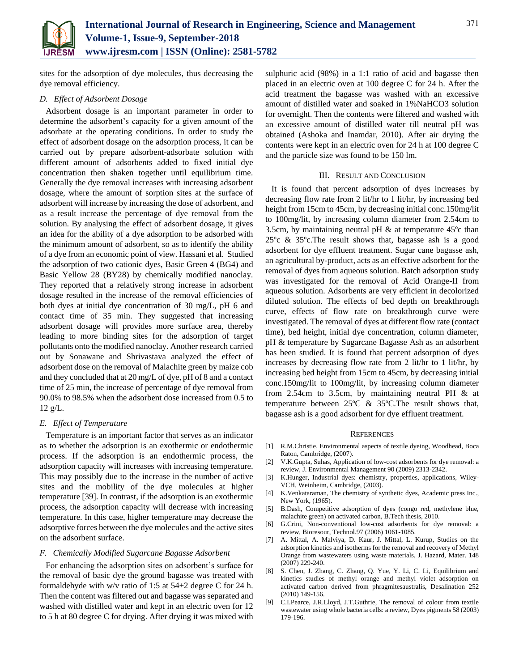

sites for the adsorption of dye molecules, thus decreasing the dye removal efficiency.

## *D. Effect of Adsorbent Dosage*

Adsorbent dosage is an important parameter in order to determine the adsorbent's capacity for a given amount of the adsorbate at the operating conditions. In order to study the effect of adsorbent dosage on the adsorption process, it can be carried out by prepare adsorbent-adsorbate solution with different amount of adsorbents added to fixed initial dye concentration then shaken together until equilibrium time. Generally the dye removal increases with increasing adsorbent dosage, where the amount of sorption sites at the surface of adsorbent will increase by increasing the dose of adsorbent, and as a result increase the percentage of dye removal from the solution. By analysing the effect of adsorbent dosage, it gives an idea for the ability of a dye adsorption to be adsorbed with the minimum amount of adsorbent, so as to identify the ability of a dye from an economic point of view. Hassani et al. Studied the adsorption of two cationic dyes, Basic Green 4 (BG4) and Basic Yellow 28 (BY28) by chemically modified nanoclay. They reported that a relatively strong increase in adsorbent dosage resulted in the increase of the removal efficiencies of both dyes at initial dye concentration of 30 mg/L, pH 6 and contact time of 35 min. They suggested that increasing adsorbent dosage will provides more surface area, thereby leading to more binding sites for the adsorption of target pollutants onto the modified nanoclay. Another research carried out by Sonawane and Shrivastava analyzed the effect of adsorbent dose on the removal of Malachite green by maize cob and they concluded that at 20 mg/L of dye, pH of 8 and a contact time of 25 min, the increase of percentage of dye removal from 90.0% to 98.5% when the adsorbent dose increased from 0.5 to  $12 \text{ g/L}$ .

### *E. Effect of Temperature*

Temperature is an important factor that serves as an indicator as to whether the adsorption is an exothermic or endothermic process. If the adsorption is an endothermic process, the adsorption capacity will increases with increasing temperature. This may possibly due to the increase in the number of active sites and the mobility of the dye molecules at higher temperature [39]. In contrast, if the adsorption is an exothermic process, the adsorption capacity will decrease with increasing temperature. In this case, higher temperature may decrease the adsorptive forces between the dye molecules and the active sites on the adsorbent surface.

## *F. Chemically Modified Sugarcane Bagasse Adsorbent*

For enhancing the adsorption sites on adsorbent's surface for the removal of basic dye the ground bagasse was treated with formaldehyde with w/v ratio of 1:5 at  $54\pm2$  degree C for 24 h. Then the content was filtered out and bagasse was separated and washed with distilled water and kept in an electric oven for 12 to 5 h at 80 degree C for drying. After drying it was mixed with

sulphuric acid (98%) in a 1:1 ratio of acid and bagasse then placed in an electric oven at 100 degree C for 24 h. After the acid treatment the bagasse was washed with an excessive amount of distilled water and soaked in 1%NaHCO3 solution for overnight. Then the contents were filtered and washed with an excessive amount of distilled water till neutral pH was obtained (Ashoka and Inamdar, 2010). After air drying the contents were kept in an electric oven for 24 h at 100 degree C and the particle size was found to be 150 lm.

#### III. RESULT AND CONCLUSION

It is found that percent adsorption of dyes increases by decreasing flow rate from 2 lit/hr to 1 lit/hr, by increasing bed height from 15cm to 45cm, by decreasing initial conc.150mg/lit to 100mg/lit, by increasing column diameter from 2.54cm to 3.5cm, by maintaining neutral pH & at temperature 45ºc than 25ºc & 35ºc.The result shows that, bagasse ash is a good adsorbent for dye effluent treatment. Sugar cane bagasse ash, an agricultural by-product, acts as an effective adsorbent for the removal of dyes from aqueous solution. Batch adsorption study was investigated for the removal of Acid Orange-II from aqueous solution. Adsorbents are very efficient in decolorized diluted solution. The effects of bed depth on breakthrough curve, effects of flow rate on breakthrough curve were investigated. The removal of dyes at different flow rate (contact time), bed height, initial dye concentration, column diameter, pH & temperature by Sugarcane Bagasse Ash as an adsorbent has been studied. It is found that percent adsorption of dyes increases by decreasing flow rate from 2 lit/hr to 1 lit/hr, by increasing bed height from 15cm to 45cm, by decreasing initial conc.150mg/lit to 100mg/lit, by increasing column diameter from 2.54cm to 3.5cm, by maintaining neutral PH & at temperature between 25ºC & 35ºC.The result shows that, bagasse ash is a good adsorbent for dye effluent treatment.

#### **REFERENCES**

- [1] R.M.Christie, Environmental aspects of textile dyeing, Woodhead, Boca Raton, Cambridge, (2007).
- [2] V.K.Gupta, Suhas, Application of low-cost adsorbents for dye removal: a review, J. Environmental Management 90 (2009) 2313-2342.
- [3] K.Hunger, Industrial dyes: chemistry, properties, applications, Wiley-VCH, Weinheim, Cambridge, (2003).
- [4] K.Venkataraman, The chemistry of synthetic dyes, Academic press Inc., New York, (1965).
- [5] B.Dash, Competitive adsorption of dyes (congo red, methylene blue, malachite green) on activated carbon, B.Tech thesis, 2010.
- [6] G.Crini, Non-conventional low-cost adsorbents for dye removal: a review, Bioresour, Technol.97 (2006) 1061-1085.
- [7] A. Mittal, A. Malviya, D. Kaur, J. Mittal, L. Kurup, Studies on the adsorption kinetics and isotherms for the removal and recovery of Methyl Orange from wastewaters using waste materials, J. Hazard, Mater. 148 (2007) 229-240.
- [8] S. Chen, J. Zhang, C. Zhang, Q. Yue, Y. Li, C. Li, Equilibrium and kinetics studies of methyl orange and methyl violet adsorption on activated carbon derived from phragmitesaustralis, Desalination 252 (2010) 149-156.
- [9] C.I.Pearce, J.R.Lloyd, J.T.Guthrie, The removal of colour from textile wastewater using whole bacteria cells: a review, Dyes pigments 58 (2003) 179-196.